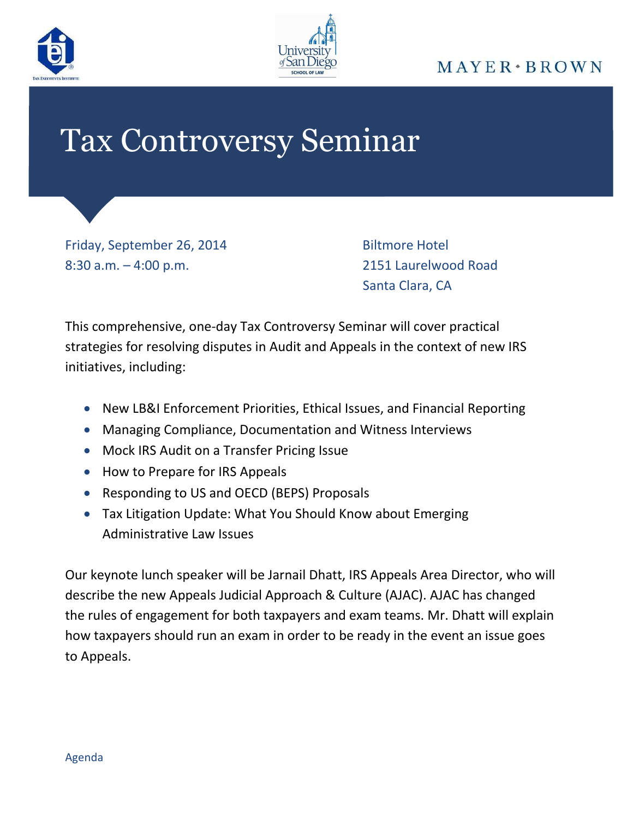



## $MAYER \cdot BROWN$

## Tax Controversy Seminar

Friday, September 26, 2014 Biltmore Hotel 8:30 a.m. – 4:00 p.m. 2151 Laurelwood Road

Santa Clara, CA

This comprehensive, one-day Tax Controversy Seminar will cover practical strategies for resolving disputes in Audit and Appeals in the context of new IRS initiatives, including:

- New LB&I Enforcement Priorities, Ethical Issues, and Financial Reporting
- Managing Compliance, Documentation and Witness Interviews
- Mock IRS Audit on a Transfer Pricing Issue
- How to Prepare for IRS Appeals
- Responding to US and OECD (BEPS) Proposals
- Tax Litigation Update: What You Should Know about Emerging Administrative Law Issues

Our keynote lunch speaker will be Jarnail Dhatt, IRS Appeals Area Director, who will describe the new Appeals Judicial Approach & Culture (AJAC). AJAC has changed the rules of engagement for both taxpayers and exam teams. Mr. Dhatt will explain how taxpayers should run an exam in order to be ready in the event an issue goes to Appeals.